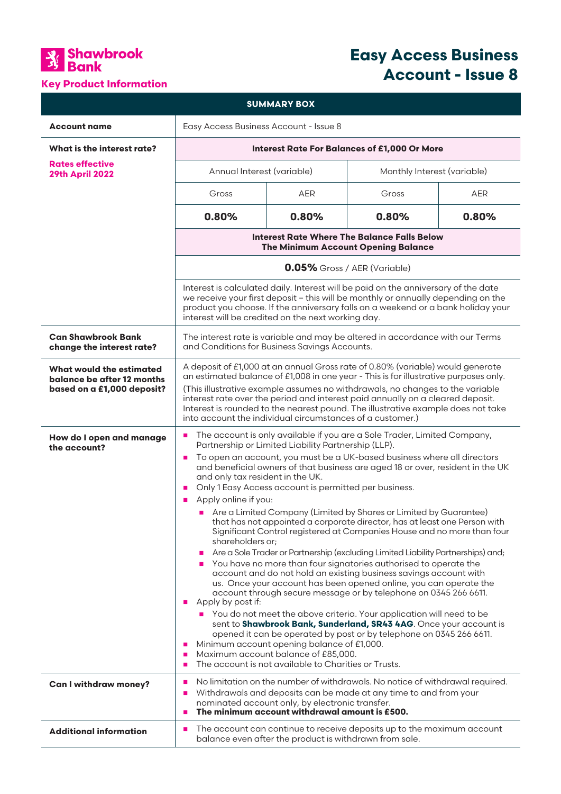

## **Key Product Information**

# **Easy Access Business Account - Issue 8**

| <b>SUMMARY BOX</b>                                                                   |                                                                                                                                                                                                                                                                                                                                                                                                                                                                                                                                                                                                                                                                                                                                                                                                                                                                                                                                                                                                                                                                                                                                                                                                                                                                                                                                                                                                                                                                                                                       |            |                             |            |
|--------------------------------------------------------------------------------------|-----------------------------------------------------------------------------------------------------------------------------------------------------------------------------------------------------------------------------------------------------------------------------------------------------------------------------------------------------------------------------------------------------------------------------------------------------------------------------------------------------------------------------------------------------------------------------------------------------------------------------------------------------------------------------------------------------------------------------------------------------------------------------------------------------------------------------------------------------------------------------------------------------------------------------------------------------------------------------------------------------------------------------------------------------------------------------------------------------------------------------------------------------------------------------------------------------------------------------------------------------------------------------------------------------------------------------------------------------------------------------------------------------------------------------------------------------------------------------------------------------------------------|------------|-----------------------------|------------|
| <b>Account name</b>                                                                  | Easy Access Business Account - Issue 8                                                                                                                                                                                                                                                                                                                                                                                                                                                                                                                                                                                                                                                                                                                                                                                                                                                                                                                                                                                                                                                                                                                                                                                                                                                                                                                                                                                                                                                                                |            |                             |            |
| <b>What is the interest rate?</b>                                                    | <b>Interest Rate For Balances of £1,000 Or More</b>                                                                                                                                                                                                                                                                                                                                                                                                                                                                                                                                                                                                                                                                                                                                                                                                                                                                                                                                                                                                                                                                                                                                                                                                                                                                                                                                                                                                                                                                   |            |                             |            |
| <b>Rates effective</b><br><b>29th April 2022</b>                                     | Annual Interest (variable)                                                                                                                                                                                                                                                                                                                                                                                                                                                                                                                                                                                                                                                                                                                                                                                                                                                                                                                                                                                                                                                                                                                                                                                                                                                                                                                                                                                                                                                                                            |            | Monthly Interest (variable) |            |
|                                                                                      | Gross                                                                                                                                                                                                                                                                                                                                                                                                                                                                                                                                                                                                                                                                                                                                                                                                                                                                                                                                                                                                                                                                                                                                                                                                                                                                                                                                                                                                                                                                                                                 | <b>AER</b> | Gross                       | <b>AER</b> |
|                                                                                      | 0.80%                                                                                                                                                                                                                                                                                                                                                                                                                                                                                                                                                                                                                                                                                                                                                                                                                                                                                                                                                                                                                                                                                                                                                                                                                                                                                                                                                                                                                                                                                                                 | 0.80%      | 0.80%                       | 0.80%      |
|                                                                                      | <b>Interest Rate Where The Balance Falls Below</b><br><b>The Minimum Account Opening Balance</b>                                                                                                                                                                                                                                                                                                                                                                                                                                                                                                                                                                                                                                                                                                                                                                                                                                                                                                                                                                                                                                                                                                                                                                                                                                                                                                                                                                                                                      |            |                             |            |
|                                                                                      | 0.05% Gross / AER (Variable)<br>Interest is calculated daily. Interest will be paid on the anniversary of the date<br>we receive your first deposit - this will be monthly or annually depending on the<br>product you choose. If the anniversary falls on a weekend or a bank holiday your<br>interest will be credited on the next working day.                                                                                                                                                                                                                                                                                                                                                                                                                                                                                                                                                                                                                                                                                                                                                                                                                                                                                                                                                                                                                                                                                                                                                                     |            |                             |            |
|                                                                                      |                                                                                                                                                                                                                                                                                                                                                                                                                                                                                                                                                                                                                                                                                                                                                                                                                                                                                                                                                                                                                                                                                                                                                                                                                                                                                                                                                                                                                                                                                                                       |            |                             |            |
| <b>Can Shawbrook Bank</b><br>change the interest rate?                               | The interest rate is variable and may be altered in accordance with our Terms<br>and Conditions for Business Savings Accounts.                                                                                                                                                                                                                                                                                                                                                                                                                                                                                                                                                                                                                                                                                                                                                                                                                                                                                                                                                                                                                                                                                                                                                                                                                                                                                                                                                                                        |            |                             |            |
| What would the estimated<br>balance be after 12 months<br>based on a £1,000 deposit? | A deposit of £1,000 at an annual Gross rate of 0.80% (variable) would generate<br>an estimated balance of £1,008 in one year - This is for illustrative purposes only.<br>(This illustrative example assumes no withdrawals, no changes to the variable<br>interest rate over the period and interest paid annually on a cleared deposit.<br>Interest is rounded to the nearest pound. The illustrative example does not take<br>into account the individual circumstances of a customer.)                                                                                                                                                                                                                                                                                                                                                                                                                                                                                                                                                                                                                                                                                                                                                                                                                                                                                                                                                                                                                            |            |                             |            |
| How do I open and manage<br>the account?                                             | The account is only available if you are a Sole Trader, Limited Company,<br>п<br>Partnership or Limited Liability Partnership (LLP).<br>To open an account, you must be a UK-based business where all directors<br>$\blacksquare$<br>and beneficial owners of that business are aged 18 or over, resident in the UK<br>and only tax resident in the UK.<br>Only 1 Easy Access account is permitted per business.<br>$\mathbf{r}$<br>Apply online if you:<br>$\blacksquare$<br>■ Are a Limited Company (Limited by Shares or Limited by Guarantee)<br>that has not appointed a corporate director, has at least one Person with<br>Significant Control registered at Companies House and no more than four<br>shareholders or;<br>Are a Sole Trader or Partnership (excluding Limited Liability Partnerships) and;<br>п<br>You have no more than four signatories authorised to operate the<br>account and do not hold an existing business savings account with<br>us. Once your account has been opened online, you can operate the<br>account through secure message or by telephone on 0345 266 6611.<br>Apply by post if:<br>п<br>• You do not meet the above criteria. Your application will need to be<br>sent to Shawbrook Bank, Sunderland, SR43 4AG. Once your account is<br>opened it can be operated by post or by telephone on 0345 266 6611.<br>Minimum account opening balance of £1,000.<br>п<br>Maximum account balance of £85,000.<br>п<br>The account is not available to Charities or Trusts.<br>п |            |                             |            |
| <b>Can I withdraw money?</b>                                                         | No limitation on the number of withdrawals. No notice of withdrawal required.<br>п<br>Withdrawals and deposits can be made at any time to and from your<br>ш<br>nominated account only, by electronic transfer.                                                                                                                                                                                                                                                                                                                                                                                                                                                                                                                                                                                                                                                                                                                                                                                                                                                                                                                                                                                                                                                                                                                                                                                                                                                                                                       |            |                             |            |
|                                                                                      | The minimum account withdrawal amount is £500.<br>$\blacksquare$                                                                                                                                                                                                                                                                                                                                                                                                                                                                                                                                                                                                                                                                                                                                                                                                                                                                                                                                                                                                                                                                                                                                                                                                                                                                                                                                                                                                                                                      |            |                             |            |
| <b>Additional information</b>                                                        | The account can continue to receive deposits up to the maximum account<br>п<br>balance even after the product is withdrawn from sale.                                                                                                                                                                                                                                                                                                                                                                                                                                                                                                                                                                                                                                                                                                                                                                                                                                                                                                                                                                                                                                                                                                                                                                                                                                                                                                                                                                                 |            |                             |            |